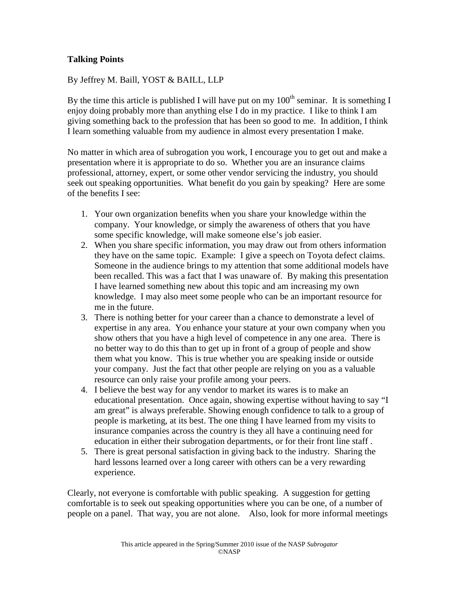## **Talking Points**

## By Jeffrey M. Baill, YOST & BAILL, LLP

By the time this article is published I will have put on my  $100<sup>th</sup>$  seminar. It is something I enjoy doing probably more than anything else I do in my practice. I like to think I am giving something back to the profession that has been so good to me. In addition, I think I learn something valuable from my audience in almost every presentation I make.

No matter in which area of subrogation you work, I encourage you to get out and make a presentation where it is appropriate to do so. Whether you are an insurance claims professional, attorney, expert, or some other vendor servicing the industry, you should seek out speaking opportunities. What benefit do you gain by speaking? Here are some of the benefits I see:

- 1. Your own organization benefits when you share your knowledge within the company. Your knowledge, or simply the awareness of others that you have some specific knowledge, will make someone else's job easier.
- 2. When you share specific information, you may draw out from others information they have on the same topic. Example: I give a speech on Toyota defect claims. Someone in the audience brings to my attention that some additional models have been recalled. This was a fact that I was unaware of. By making this presentation I have learned something new about this topic and am increasing my own knowledge. I may also meet some people who can be an important resource for me in the future.
- 3. There is nothing better for your career than a chance to demonstrate a level of expertise in any area. You enhance your stature at your own company when you show others that you have a high level of competence in any one area. There is no better way to do this than to get up in front of a group of people and show them what you know. This is true whether you are speaking inside or outside your company. Just the fact that other people are relying on you as a valuable resource can only raise your profile among your peers.
- 4. I believe the best way for any vendor to market its wares is to make an educational presentation. Once again, showing expertise without having to say "I am great" is always preferable. Showing enough confidence to talk to a group of people is marketing, at its best. The one thing I have learned from my visits to insurance companies across the country is they all have a continuing need for education in either their subrogation departments, or for their front line staff .
- 5. There is great personal satisfaction in giving back to the industry. Sharing the hard lessons learned over a long career with others can be a very rewarding experience.

Clearly, not everyone is comfortable with public speaking. A suggestion for getting comfortable is to seek out speaking opportunities where you can be one, of a number of people on a panel. That way, you are not alone. Also, look for more informal meetings